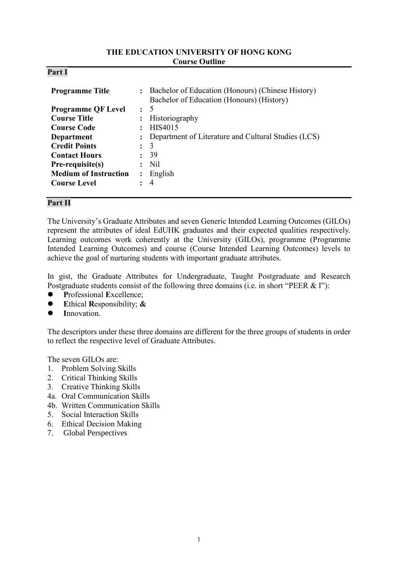### **THE EDUCATION UNIVERSITY OF HONG KONG Course Outline**

| <b>Programme Title</b>       | $\ddot{\cdot}$       | Bachelor of Education (Honours) (Chinese History)<br>Bachelor of Education (Honours) (History) |
|------------------------------|----------------------|------------------------------------------------------------------------------------------------|
| <b>Programme QF Level</b>    | $\ddot{\phantom{0}}$ | -5                                                                                             |
| <b>Course Title</b>          | $\ddot{\phantom{a}}$ | Historiography                                                                                 |
| <b>Course Code</b>           | $\ddot{\phantom{a}}$ | HIS4015                                                                                        |
| Department                   | $\ddot{\phantom{a}}$ | Department of Literature and Cultural Studies (LCS)                                            |
| <b>Credit Points</b>         | $\ddot{\cdot}$       | 3                                                                                              |
| <b>Contact Hours</b>         | $\ddot{\cdot}$       | 39                                                                                             |
| Pre-requisite(s)             |                      | Nil.                                                                                           |
| <b>Medium of Instruction</b> | $\ddot{\cdot}$       | English                                                                                        |
| <b>Course Level</b>          |                      | 4                                                                                              |
|                              |                      |                                                                                                |

## **Part II**

**Part I**

The University's Graduate Attributes and seven Generic Intended Learning Outcomes (GILOs) represent the attributes of ideal EdUHK graduates and their expected qualities respectively. Learning outcomes work coherently at the University (GILOs), programme (Programme Intended Learning Outcomes) and course (Course Intended Learning Outcomes) levels to achieve the goal of nurturing students with important graduate attributes.

In gist, the Graduate Attributes for Undergraduate, Taught Postgraduate and Research Postgraduate students consist of the following three domains (i.e. in short "PEER & I"):

- **P**rofessional **E**xcellence;
- **E**thical **R**esponsibility; **&**
- **I**nnovation.

The descriptors under these three domains are different for the three groups of students in order to reflect the respective level of Graduate Attributes.

The seven GILOs are:

- 1. Problem Solving Skills
- 2. Critical Thinking Skills
- 3. Creative Thinking Skills
- 4a. Oral Communication Skills
- 4b. Written Communication Skills
- 5. Social Interaction Skills
- 6. Ethical Decision Making
- 7. Global Perspectives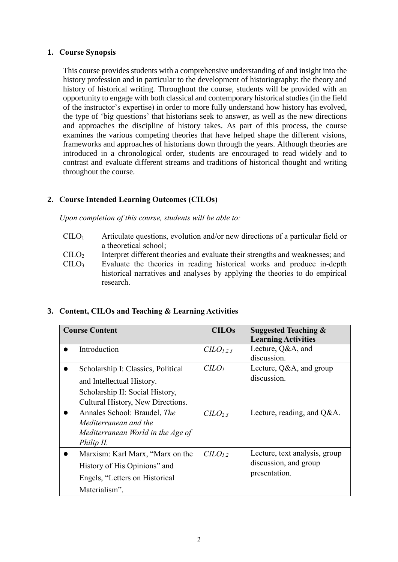## **1. Course Synopsis**

This course provides students with a comprehensive understanding of and insight into the history profession and in particular to the development of historiography: the theory and history of historical writing. Throughout the course, students will be provided with an opportunity to engage with both classical and contemporary historical studies (in the field of the instructor's expertise) in order to more fully understand how history has evolved, the type of 'big questions' that historians seek to answer, as well as the new directions and approaches the discipline of history takes. As part of this process, the course examines the various competing theories that have helped shape the different visions, frameworks and approaches of historians down through the years. Although theories are introduced in a chronological order, students are encouraged to read widely and to contrast and evaluate different streams and traditions of historical thought and writing throughout the course.

## **2. Course Intended Learning Outcomes (CILOs)**

*Upon completion of this course, students will be able to:*

- CILO<sup>1</sup> Articulate questions, evolution and/or new directions of a particular field or a theoretical school;
- CILO<sup>2</sup> Interpret different theories and evaluate their strengths and weaknesses; and
- CILO<sup>3</sup> Evaluate the theories in reading historical works and produce in-depth historical narratives and analyses by applying the theories to do empirical research.

## **3. Content, CILOs and Teaching & Learning Activities**

| <b>Course Content</b> |                                    | <b>CILOs</b>                    | <b>Suggested Teaching &amp;</b> |  |
|-----------------------|------------------------------------|---------------------------------|---------------------------------|--|
|                       |                                    |                                 | <b>Learning Activities</b>      |  |
|                       | Introduction                       | $CLO_{1,2,3}$                   | Lecture, Q&A, and               |  |
|                       |                                    |                                 | discussion.                     |  |
|                       | Scholarship I: Classics, Political | C <sub>LO<sub>1</sub></sub>     | Lecture, Q&A, and group         |  |
|                       | and Intellectual History.          |                                 | discussion.                     |  |
|                       | Scholarship II: Social History,    |                                 |                                 |  |
|                       | Cultural History, New Directions.  |                                 |                                 |  |
|                       | Annales School: Braudel, The       | C <sub>L</sub> O <sub>2,3</sub> | Lecture, reading, and $Q&A$ .   |  |
|                       | Mediterranean and the              |                                 |                                 |  |
|                       | Mediterranean World in the Age of  |                                 |                                 |  |
|                       | Philip II.                         |                                 |                                 |  |
|                       | Marxism: Karl Marx, "Marx on the   | C <sub>L</sub> O <sub>L,2</sub> | Lecture, text analysis, group   |  |
|                       | History of His Opinions" and       |                                 | discussion, and group           |  |
|                       | Engels, "Letters on Historical     | presentation.                   |                                 |  |
|                       | Materialism".                      |                                 |                                 |  |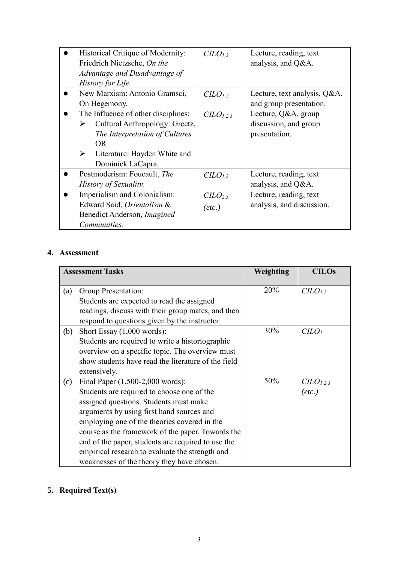| Historical Critique of Modernity:<br>Friedrich Nietzsche, On the<br>Advantage and Disadvantage of<br>History for Life.                                                                                  | CLO <sub>1,2</sub>                       | Lecture, reading, text<br>analysis, and Q&A.                  |
|---------------------------------------------------------------------------------------------------------------------------------------------------------------------------------------------------------|------------------------------------------|---------------------------------------------------------------|
| New Marxism: Antonio Gramsci,<br>On Hegemony.                                                                                                                                                           | C <sub>L</sub> O <sub>L</sub>            | Lecture, text analysis, Q&A,<br>and group presentation.       |
| The Influence of other disciplines:<br>Cultural Anthropology: Greetz,<br>➤<br>The Interpretation of Cultures<br><b>OR</b><br>$\blacktriangleright$<br>Literature: Hayden White and<br>Dominick LaCapra. | CLO <sub>1,2,3</sub>                     | Lecture, Q&A, group<br>discussion, and group<br>presentation. |
| Postmoderism: Foucault, The<br>History of Sexuality.                                                                                                                                                    | CLO <sub>1,2</sub>                       | Lecture, reading, text<br>analysis, and Q&A.                  |
| Imperialism and Colonialism:<br>Edward Said, Orientalism &<br>Benedict Anderson, <i>Imagined</i><br><i>Communities.</i>                                                                                 | CLLO <sub>2,3</sub><br>$(\textit{etc.})$ | Lecture, reading, text<br>analysis, and discussion.           |

# **4. Assessment**

| <b>Assessment Tasks</b> |                                                     | Weighting | <b>CILOs</b>                |
|-------------------------|-----------------------------------------------------|-----------|-----------------------------|
| (a)                     | Group Presentation:                                 | 20%       | $CLO_{1,2}$                 |
|                         | Students are expected to read the assigned          |           |                             |
|                         | readings, discuss with their group mates, and then  |           |                             |
|                         | respond to questions given by the instructor.       |           |                             |
| (b)                     | Short Essay $(1,000$ words):                        | 30%       | C <sub>LO<sub>l</sub></sub> |
|                         | Students are required to write a historiographic    |           |                             |
|                         | overview on a specific topic. The overview must     |           |                             |
|                         | show students have read the literature of the field |           |                             |
|                         | extensively.                                        |           |                             |
| (c)                     | Final Paper (1,500-2,000 words):                    | 50%       | CLO <sub>1,2,3</sub>        |
|                         | Students are required to choose one of the          |           | $(\textit{etc.})$           |
|                         | assigned questions. Students must make              |           |                             |
|                         | arguments by using first hand sources and           |           |                             |
|                         | employing one of the theories covered in the        |           |                             |
|                         | course as the framework of the paper. Towards the   |           |                             |
|                         | end of the paper, students are required to use the  |           |                             |
|                         | empirical research to evaluate the strength and     |           |                             |
|                         | weaknesses of the theory they have chosen.          |           |                             |

# **5. Required Text(s)**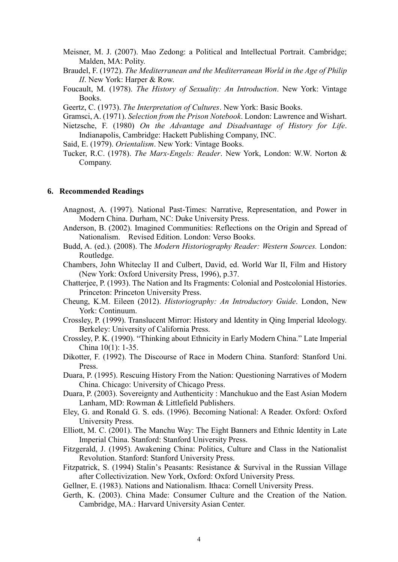- Meisner, M. J. (2007). Mao Zedong: a Political and Intellectual Portrait. Cambridge; Malden, MA: Polity.
- Braudel, F. (1972). *The Mediterranean and the Mediterranean World in the Age of Philip II*. New York: Harper & Row.
- Foucault, M. (1978). *The History of Sexuality: An Introduction*. New York: Vintage Books.

Geertz, C. (1973). *The Interpretation of Cultures*. New York: Basic Books.

- Gramsci, A. (1971). *Selection from the Prison Notebook*. London: Lawrence and Wishart.
- Nietzsche, F. (1980) *On the Advantage and Disadvantage of History for Life*. Indianapolis, Cambridge: Hackett Publishing Company, INC.
- Said, E. (1979). *Orientalism*. New York: Vintage Books.
- Tucker, R.C. (1978). *The Marx-Engels: Reader*. New York, London: W.W. Norton & Company.

### **6. Recommended Readings**

- Anagnost, A. (1997). National Past-Times: Narrative, Representation, and Power in Modern China. Durham, NC: Duke University Press.
- Anderson, B. (2002). Imagined Communities: Reflections on the Origin and Spread of Nationalism. Revised Edition. London: Verso Books.
- Budd, A. (ed.). (2008). The *Modern Historiography Reader: Western Sources.* London: Routledge.
- Chambers, John Whiteclay II and Culbert, David, ed. World War II, Film and History (New York: Oxford University Press, 1996), p.37.
- Chatterjee, P. (1993). The Nation and Its Fragments: Colonial and Postcolonial Histories. Princeton: Princeton University Press.
- Cheung, K.M. Eileen (2012). *Historiography: An Introductory Guide*. London, New York: Continuum.
- Crossley, P. (1999). Translucent Mirror: History and Identity in Qing Imperial Ideology. Berkeley: University of California Press.
- Crossley, P. K. (1990). "Thinking about Ethnicity in Early Modern China." Late Imperial China 10(1): 1-35.
- Dikotter, F. (1992). The Discourse of Race in Modern China. Stanford: Stanford Uni. Press.
- Duara, P. (1995). Rescuing History From the Nation: Questioning Narratives of Modern China. Chicago: University of Chicago Press.
- Duara, P. (2003). Sovereignty and Authenticity : Manchukuo and the East Asian Modern Lanham, MD: Rowman & Littlefield Publishers.
- Eley, G. and Ronald G. S. eds. (1996). Becoming National: A Reader. Oxford: Oxford University Press.
- Elliott, M. C. (2001). The Manchu Way: The Eight Banners and Ethnic Identity in Late Imperial China. Stanford: Stanford University Press.
- Fitzgerald, J. (1995). Awakening China: Politics, Culture and Class in the Nationalist Revolution. Stanford: Stanford University Press.
- Fitzpatrick, S. (1994) Stalin's Peasants: Resistance & Survival in the Russian Village after Collectivization. New York, Oxford: Oxford University Press.

Gellner, E. (1983). Nations and Nationalism. Ithaca: Cornell University Press.

Gerth, K. (2003). China Made: Consumer Culture and the Creation of the Nation. Cambridge, MA.: Harvard University Asian Center.